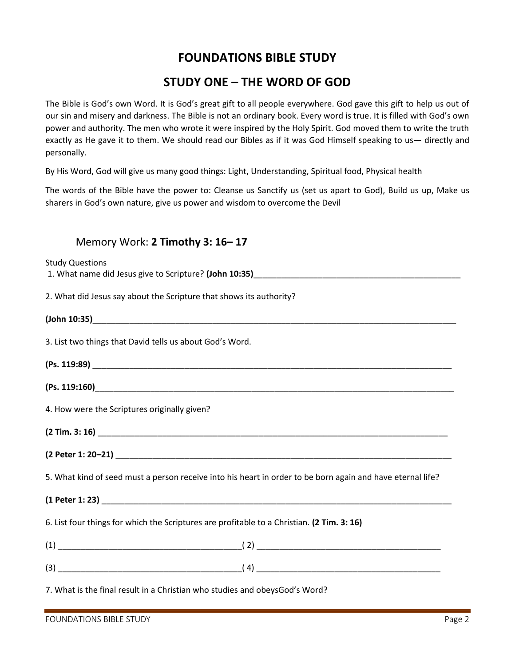## **FOUNDATIONS BIBLE STUDY**

## **STUDY ONE – THE WORD OF GOD**

The Bible is God's own Word. It is God's great gift to all people everywhere. God gave this gift to help us out of our sin and misery and darkness. The Bible is not an ordinary book. Every word is true. It is filled with God's own power and authority. The men who wrote it were inspired by the Holy Spirit. God moved them to write the truth exactly as He gave it to them. We should read our Bibles as if it was God Himself speaking to us— directly and personally.

By His Word, God will give us many good things: Light, Understanding, Spiritual food, Physical health

The words of the Bible have the power to: Cleanse us Sanctify us (set us apart to God), Build us up, Make us sharers in God's own nature, give us power and wisdom to overcome the Devil

## Memory Work: **2 Timothy 3: 16– 17**

| <b>Study Questions</b>                                                                                     |
|------------------------------------------------------------------------------------------------------------|
|                                                                                                            |
| 2. What did Jesus say about the Scripture that shows its authority?                                        |
|                                                                                                            |
| 3. List two things that David tells us about God's Word.                                                   |
|                                                                                                            |
|                                                                                                            |
| 4. How were the Scriptures originally given?                                                               |
|                                                                                                            |
|                                                                                                            |
| 5. What kind of seed must a person receive into his heart in order to be born again and have eternal life? |
|                                                                                                            |
| 6. List four things for which the Scriptures are profitable to a Christian. (2 Tim. 3: 16)                 |
|                                                                                                            |
|                                                                                                            |
| 7. What is the final result in a Christian who studies and obeysGod's Word?                                |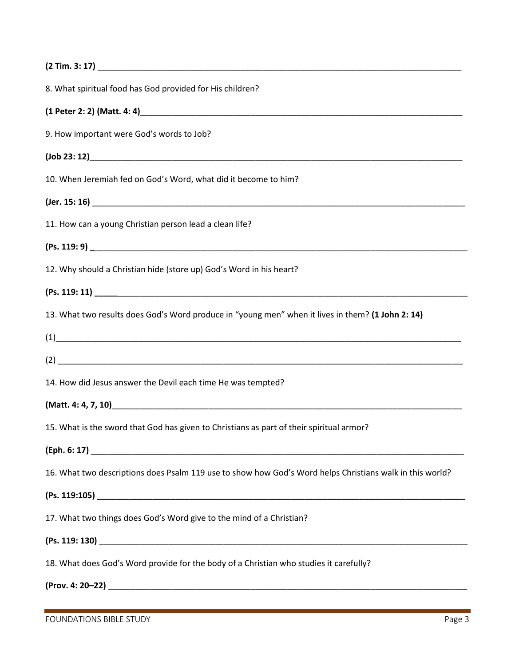| 8. What spiritual food has God provided for His children?                                                                                                                                                                                                                                                                                                               |
|-------------------------------------------------------------------------------------------------------------------------------------------------------------------------------------------------------------------------------------------------------------------------------------------------------------------------------------------------------------------------|
|                                                                                                                                                                                                                                                                                                                                                                         |
| 9. How important were God's words to Job?                                                                                                                                                                                                                                                                                                                               |
|                                                                                                                                                                                                                                                                                                                                                                         |
| 10. When Jeremiah fed on God's Word, what did it become to him?                                                                                                                                                                                                                                                                                                         |
|                                                                                                                                                                                                                                                                                                                                                                         |
| 11. How can a young Christian person lead a clean life?                                                                                                                                                                                                                                                                                                                 |
|                                                                                                                                                                                                                                                                                                                                                                         |
| 12. Why should a Christian hide (store up) God's Word in his heart?                                                                                                                                                                                                                                                                                                     |
|                                                                                                                                                                                                                                                                                                                                                                         |
| 13. What two results does God's Word produce in "young men" when it lives in them? (1 John 2: 14)                                                                                                                                                                                                                                                                       |
| $\begin{picture}(10,10)(0,0) \put(0,0){\vector(1,0){100}} \put(1,0){\vector(1,0){100}} \put(1,0){\vector(1,0){100}} \put(1,0){\vector(1,0){100}} \put(1,0){\vector(1,0){100}} \put(1,0){\vector(1,0){100}} \put(1,0){\vector(1,0){100}} \put(1,0){\vector(1,0){100}} \put(1,0){\vector(1,0){100}} \put(1,0){\vector(1,0){100}} \put(1,0){\vector(1,0){100}} \put(1,0){$ |
|                                                                                                                                                                                                                                                                                                                                                                         |
| 14. How did Jesus answer the Devil each time He was tempted?                                                                                                                                                                                                                                                                                                            |
|                                                                                                                                                                                                                                                                                                                                                                         |
| 15. What is the sword that God has given to Christians as part of their spiritual armor?                                                                                                                                                                                                                                                                                |
|                                                                                                                                                                                                                                                                                                                                                                         |
| 16. What two descriptions does Psalm 119 use to show how God's Word helps Christians walk in this world?                                                                                                                                                                                                                                                                |
|                                                                                                                                                                                                                                                                                                                                                                         |
| 17. What two things does God's Word give to the mind of a Christian?                                                                                                                                                                                                                                                                                                    |
|                                                                                                                                                                                                                                                                                                                                                                         |
| 18. What does God's Word provide for the body of a Christian who studies it carefully?                                                                                                                                                                                                                                                                                  |
|                                                                                                                                                                                                                                                                                                                                                                         |